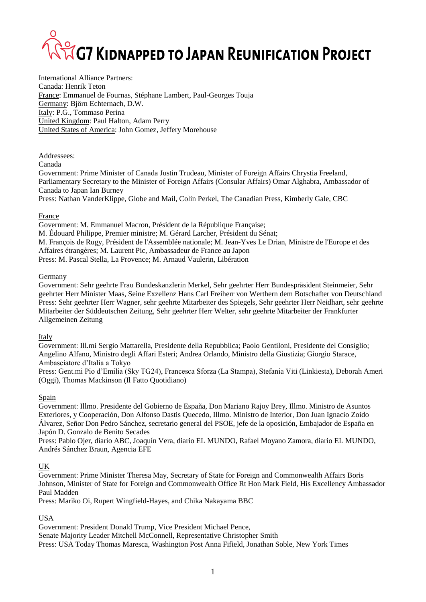# **SECT KIDNAPPED TO JAPAN REUNIFICATION PROJECT**

International Alliance Partners: Canada: Henrik Teton France: Emmanuel de Fournas, Stéphane Lambert, Paul-Georges Touja Germany: Björn Echternach, D.W. Italy: P.G., Tommaso Perina United Kingdom: Paul Halton, Adam Perry United States of America: John Gomez, Jeffery Morehouse

Addressees:

Canada

Government: Prime Minister of Canada Justin Trudeau, Minister of Foreign Affairs Chrystia Freeland, Parliamentary Secretary to the Minister of Foreign Affairs (Consular Affairs) Omar Alghabra, Ambassador of Canada to Japan Ian Burney

Press: Nathan VanderKlippe, Globe and Mail, Colin Perkel, The Canadian Press, Kimberly Gale, CBC

### France

Government: M. Emmanuel Macron, Président de la République Française; M. Édouard Philippe, Premier ministre; M. Gérard Larcher, Président du Sénat; M. François de Rugy, Président de l'Assemblée nationale; M. Jean-Yves Le Drian, Ministre de l'Europe et des Affaires étrangères; M. Laurent Pic, Ambassadeur de France au Japon Press: M. Pascal Stella, La Provence; M. Arnaud Vaulerin, Libération

### Germany

Government: Sehr geehrte Frau Bundeskanzlerin Merkel, Sehr geehrter Herr Bundespräsident Steinmeier, Sehr geehrter Herr Minister Maas, Seine Exzellenz Hans Carl Freiherr von Werthern dem Botschafter von Deutschland Press: Sehr geehrter Herr Wagner, sehr geehrte Mitarbeiter des Spiegels, Sehr geehrter Herr Neidhart, sehr geehrte Mitarbeiter der Süddeutschen Zeitung, Sehr geehrter Herr Welter, sehr geehrte Mitarbeiter der Frankfurter Allgemeinen Zeitung

Italy

Government: Ill.mi Sergio Mattarella, Presidente della Repubblica; Paolo Gentiloni, Presidente del Consiglio; Angelino Alfano, Ministro degli Affari Esteri; Andrea Orlando, Ministro della Giustizia; Giorgio Starace, Ambasciatore d'Italia a Tokyo

Press: Gent.mi Pio d'Emilia (Sky TG24), Francesca Sforza (La Stampa), Stefania Viti (Linkiesta), Deborah Ameri (Oggi), Thomas Mackinson (Il Fatto Quotidiano)

### Spain

Government: Illmo. Presidente del Gobierno de España, Don Mariano Rajoy Brey, Illmo. Ministro de Asuntos Exteriores, y Cooperación, Don Alfonso Dastis Quecedo, Illmo. Ministro de Interior, Don Juan Ignacio Zoido Álvarez, Señor Don Pedro Sánchez, secretario general del PSOE, jefe de la oposición, Embajador de España en Japón D. Gonzalo de Benito Secades

Press: Pablo Ojer, diario ABC, Joaquín Vera, diario EL MUNDO, Rafael Moyano Zamora, diario EL MUNDO, Andrés Sánchez Braun*,* Agencia EFE

### UK

Government: Prime Minister Theresa May, Secretary of State for Foreign and Commonwealth Affairs Boris Johnson, Minister of State for Foreign and Commonwealth Office Rt Hon Mark Field, His Excellency Ambassador Paul Madden

Press: Mariko Oi, Rupert Wingfield-Hayes, and Chika Nakayama BBC

### USA

Government: President Donald Trump, Vice President Michael Pence, Senate Majority Leader Mitchell McConnell, Representative Christopher Smith Press: USA Today Thomas Maresca, Washington Post Anna Fifield, Jonathan Soble, New York Times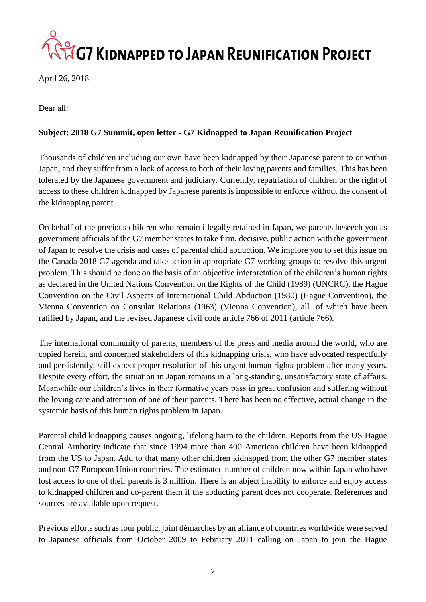### **AZG7 KIDNAPPED TO JAPAN REUNIFICATION PROJECT**

April 26, 2018

Dear all:

### **Subject: 2018 G7 Summit, open letter - G7 Kidnapped to Japan Reunification Project**

Thousands of children including our own have been kidnapped by their Japanese parent to or within Japan, and they suffer from a lack of access to both of their loving parents and families. This has been tolerated by the Japanese government and judiciary. Currently, repatriation of children or the right of access to these children kidnapped by Japanese parents is impossible to enforce without the consent of the kidnapping parent.

On behalf of the precious children who remain illegally retained in Japan, we parents beseech you as government officials of the G7 member states to take firm, decisive, public action with the government of Japan to resolve the crisis and cases of parental child abduction. We implore you to set this issue on the Canada 2018 G7 agenda and take action in appropriate G7 working groups to resolve this urgent problem. This should be done on the basis of an objective interpretation of the children's human rights as declared in the United Nations Convention on the Rights of the Child (1989) (UNCRC), the Hague Convention on the Civil Aspects of International Child Abduction (1980) (Hague Convention), the Vienna Convention on Consular Relations (1963) (Vienna Convention), all of which have been ratified by Japan, and the revised Japanese civil code article 766 of 2011 (article 766).

The international community of parents, members of the press and media around the world, who are copied herein, and concerned stakeholders of this kidnapping crisis, who have advocated respectfully and persistently, still expect proper resolution of this urgent human rights problem after many years. Despite every effort, the situation in Japan remains in a long-standing, unsatisfactory state of affairs. Meanwhile our children's lives in their formative years pass in great confusion and suffering without the loving care and attention of one of their parents. There has been no effective, actual change in the systemic basis of this human rights problem in Japan.

Parental child kidnapping causes ongoing, lifelong harm to the children. Reports from the US Hague Central Authority indicate that since 1994 more than 400 American children have been kidnapped from the US to Japan. Add to that many other children kidnapped from the other G7 member states and non-G7 European Union countries. The estimated number of children now within Japan who have lost access to one of their parents is 3 million. There is an abject inability to enforce and enjoy access to kidnapped children and co-parent them if the abducting parent does not cooperate. References and sources are available upon request.

Previous efforts such as four public, joint démarches by an alliance of countries worldwide were served to Japanese officials from October 2009 to February 2011 calling on Japan to join the Hague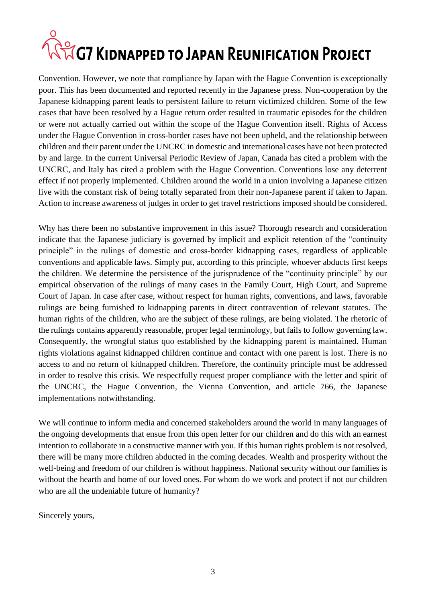# **ANG7 KIDNAPPED TO JAPAN REUNIFICATION PROJECT**

Convention. However, we note that compliance by Japan with the Hague Convention is exceptionally poor. This has been documented and reported recently in the Japanese press. Non-cooperation by the Japanese kidnapping parent leads to persistent failure to return victimized children. Some of the few cases that have been resolved by a Hague return order resulted in traumatic episodes for the children or were not actually carried out within the scope of the Hague Convention itself. Rights of Access under the Hague Convention in cross-border cases have not been upheld, and the relationship between children and their parent under the UNCRC in domestic and international cases have not been protected by and large. In the current Universal Periodic Review of Japan, Canada has cited a problem with the UNCRC, and Italy has cited a problem with the Hague Convention. Conventions lose any deterrent effect if not properly implemented. Children around the world in a union involving a Japanese citizen live with the constant risk of being totally separated from their non-Japanese parent if taken to Japan. Action to increase awareness of judges in order to get travel restrictions imposed should be considered.

Why has there been no substantive improvement in this issue? Thorough research and consideration indicate that the Japanese judiciary is governed by implicit and explicit retention of the "continuity principle" in the rulings of domestic and cross-border kidnapping cases, regardless of applicable conventions and applicable laws. Simply put, according to this principle, whoever abducts first keeps the children. We determine the persistence of the jurisprudence of the "continuity principle" by our empirical observation of the rulings of many cases in the Family Court, High Court, and Supreme Court of Japan. In case after case, without respect for human rights, conventions, and laws, favorable rulings are being furnished to kidnapping parents in direct contravention of relevant statutes. The human rights of the children, who are the subject of these rulings, are being violated. The rhetoric of the rulings contains apparently reasonable, proper legal terminology, but fails to follow governing law. Consequently, the wrongful status quo established by the kidnapping parent is maintained. Human rights violations against kidnapped children continue and contact with one parent is lost. There is no access to and no return of kidnapped children. Therefore, the continuity principle must be addressed in order to resolve this crisis. We respectfully request proper compliance with the letter and spirit of the UNCRC, the Hague Convention, the Vienna Convention, and article 766, the Japanese implementations notwithstanding.

We will continue to inform media and concerned stakeholders around the world in many languages of the ongoing developments that ensue from this open letter for our children and do this with an earnest intention to collaborate in a constructive manner with you. If this human rights problem is not resolved, there will be many more children abducted in the coming decades. Wealth and prosperity without the well-being and freedom of our children is without happiness. National security without our families is without the hearth and home of our loved ones. For whom do we work and protect if not our children who are all the undeniable future of humanity?

Sincerely yours,